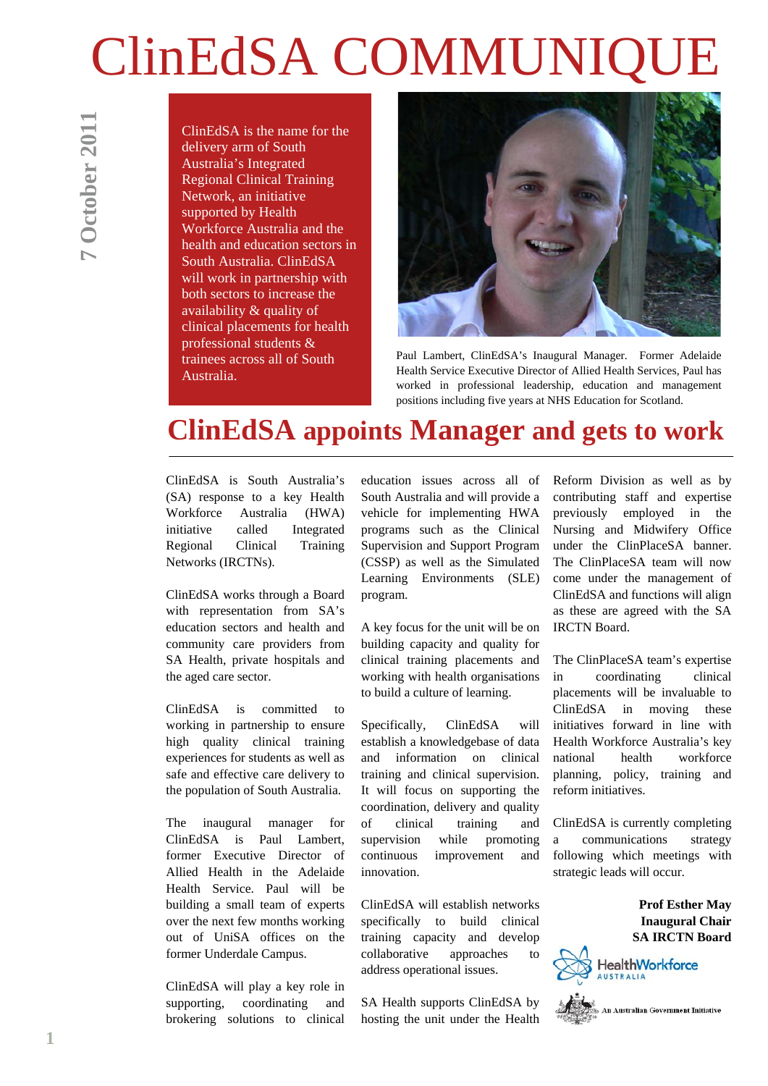# **ClinEdSA COMMUNIQ**

ClinEdSA is the name for the delivery arm of South Australia's Integrated Regional Clinical Training Network, an initiative supported by Health Workforce Australia and the health and education sectors in South Australia. ClinEdSA will work in partnership with both sectors to increase the availability & quality of clinical placements for health professional students & trainees across all of South Australia.



Paul Lambert, ClinEdSA's Inaugural Manager. Former Adelaide Health Service Executive Director of Allied Health Services, Paul has worked in professional leadership, education and management positions including five years at NHS Education for Scotland.

# **ClinEdSA appoints Manager and gets to work**

ClinEdSA is South Australia's (SA) response to a key Health Workforce Australia (HWA) initiative called Integrated Regional Clinical Training Networks (IRCTNs).

ClinEdSA works through a Board with representation from SA's education sectors and health and community care providers from SA Health, private hospitals and the aged care sector.

ClinEdSA is committed to working in partnership to ensure high quality clinical training experiences for students as well as safe and effective care delivery to the population of South Australia.

The inaugural manager for ClinEdSA is Paul Lambert, former Executive Director of Allied Health in the Adelaide Health Service. Paul will be building a small team of experts over the next few months working out of UniSA offices on the former Underdale Campus.

ClinEdSA will play a key role in supporting, coordinating and brokering solutions to clinical education issues across all of South Australia and will provide a vehicle for implementing HWA programs such as the Clinical Supervision and Support Program (CSSP) as well as the Simulated Learning Environments (SLE) program.

A key focus for the unit will be on building capacity and quality for clinical training placements and working with health organisations to build a culture of learning.

Specifically, ClinEdSA will establish a knowledgebase of data and information on clinical training and clinical supervision. It will focus on supporting the coordination, delivery and quality of clinical training and supervision while promoting continuous improvement and innovation.

ClinEdSA will establish networks specifically to build clinical training capacity and develop collaborative approaches to address operational issues.

SA Health supports ClinEdSA by hosting the unit under the Health Reform Division as well as by contributing staff and expertise previously employed in the Nursing and Midwifery Office under the ClinPlaceSA banner. The ClinPlaceSA team will now come under the management of ClinEdSA and functions will align as these are agreed with the SA IRCTN Board.

The ClinPlaceSA team's expertise in coordinating clinical placements will be invaluable to ClinEdSA in moving these initiatives forward in line with Health Workforce Australia's key national health workforce planning, policy, training and reform initiatives.

ClinEdSA is currently completing a communications strategy following which meetings with strategic leads will occur.

> **Prof Esther May Inaugural Chair SA IRCTN Board**



**1**